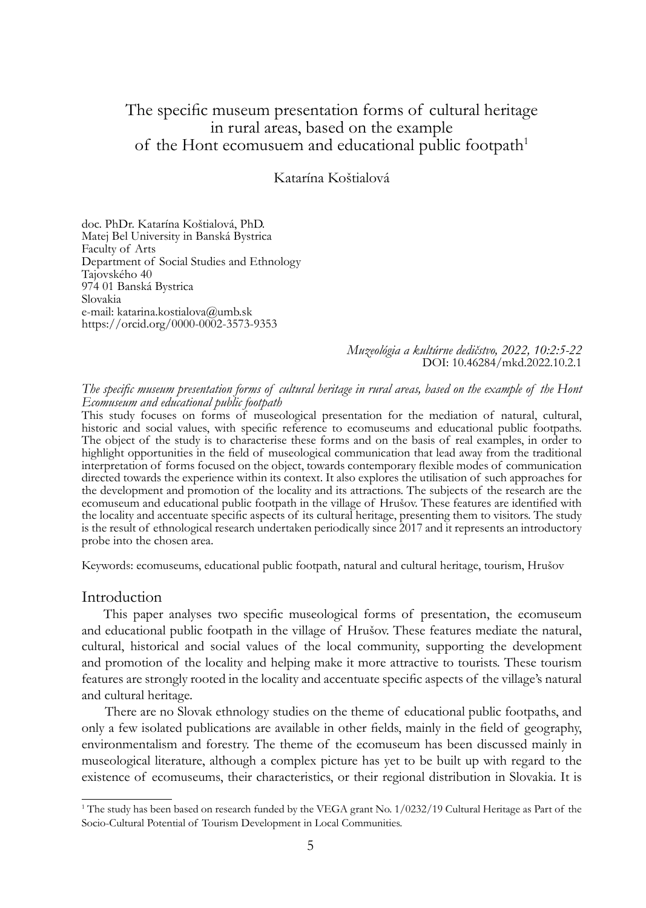# The specific museum presentation forms of cultural heritage in rural areas, based on the example of the Hont ecomusuem and educational public footpath<sup>1</sup>

Katarína Koštialová

doc. PhDr. Katarína Koštialová, PhD. Matej Bel University in Banská Bystrica Faculty of Arts Department of Social Studies and Ethnology Tajovského 40 974 01 Banská Bystrica Slovakia e-mail: katarina.kostialova@umb.sk https://orcid.org/0000-0002-3573-9353

> *Muzeológia a kultúrne dedičstvo, 2022, 10:2:5-22* DOI: 10.46284/mkd.2022.10.2.1

*The specific museum presentation forms of cultural heritage in rural areas, based on the example of the Hont Ecomuseum and educational public footpath*

This study focuses on forms of museological presentation for the mediation of natural, cultural, historic and social values, with specific reference to ecomuseums and educational public footpaths. The object of the study is to characterise these forms and on the basis of real examples, in order to highlight opportunities in the field of museological communication that lead away from the traditional interpretation of forms focused on the object, towards contemporary flexible modes of communication directed towards the experience within its context. It also explores the utilisation of such approaches for the development and promotion of the locality and its attractions. The subjects of the research are the ecomuseum and educational public footpath in the village of Hrušov. These features are identified with the locality and accentuate specific aspects of its cultural heritage, presenting them to visitors. The study is the result of ethnological research undertaken periodically since 2017 and it represents an introductory probe into the chosen area.

Keywords: ecomuseums, educational public footpath, natural and cultural heritage, tourism, Hrušov

#### Introduction

This paper analyses two specific museological forms of presentation, the ecomuseum and educational public footpath in the village of Hrušov. These features mediate the natural, cultural, historical and social values of the local community, supporting the development and promotion of the locality and helping make it more attractive to tourists. These tourism features are strongly rooted in the locality and accentuate specific aspects of the village's natural and cultural heritage.

 There are no Slovak ethnology studies on the theme of educational public footpaths, and only a few isolated publications are available in other fields, mainly in the field of geography, environmentalism and forestry. The theme of the ecomuseum has been discussed mainly in museological literature, although a complex picture has yet to be built up with regard to the existence of ecomuseums, their characteristics, or their regional distribution in Slovakia. It is

<sup>&</sup>lt;sup>1</sup> The study has been based on research funded by the VEGA grant No. 1/0232/19 Cultural Heritage as Part of the Socio-Cultural Potential of Tourism Development in Local Communities.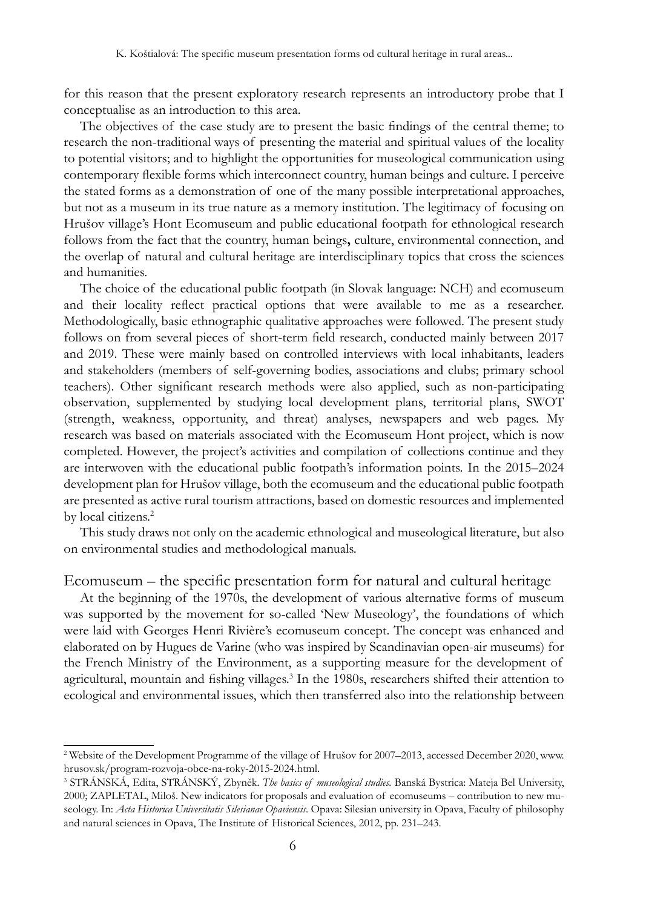for this reason that the present exploratory research represents an introductory probe that I conceptualise as an introduction to this area.

The objectives of the case study are to present the basic findings of the central theme; to research the non-traditional ways of presenting the material and spiritual values of the locality to potential visitors; and to highlight the opportunities for museological communication using contemporary flexible forms which interconnect country, human beings and culture. I perceive the stated forms as a demonstration of one of the many possible interpretational approaches, but not as a museum in its true nature as a memory institution. The legitimacy of focusing on Hrušov village's Hont Ecomuseum and public educational footpath for ethnological research follows from the fact that the country, human beings**,** culture, environmental connection, and the overlap of natural and cultural heritage are interdisciplinary topics that cross the sciences and humanities.

The choice of the educational public footpath (in Slovak language: NCH) and ecomuseum and their locality reflect practical options that were available to me as a researcher. Methodologically, basic ethnographic qualitative approaches were followed. The present study follows on from several pieces of short-term field research, conducted mainly between 2017 and 2019. These were mainly based on controlled interviews with local inhabitants, leaders and stakeholders (members of self-governing bodies, associations and clubs; primary school teachers). Other significant research methods were also applied, such as non-participating observation, supplemented by studying local development plans, territorial plans, SWOT (strength, weakness, opportunity, and threat) analyses, newspapers and web pages. My research was based on materials associated with the Ecomuseum Hont project, which is now completed. However, the project's activities and compilation of collections continue and they are interwoven with the educational public footpath's information points. In the 2015–2024 development plan for Hrušov village, both the ecomuseum and the educational public footpath are presented as active rural tourism attractions, based on domestic resources and implemented by local citizens.<sup>2</sup>

This study draws not only on the academic ethnological and museological literature, but also on environmental studies and methodological manuals.

#### Ecomuseum – the specific presentation form for natural and cultural heritage

At the beginning of the 1970s, the development of various alternative forms of museum was supported by the movement for so-called 'New Museology', the foundations of which were laid with Georges Henri Rivière's ecomuseum concept. The concept was enhanced and elaborated on by Hugues de Varine (who was inspired by Scandinavian open-air museums) for the French Ministry of the Environment, as a supporting measure for the development of agricultural, mountain and fishing villages.<sup>3</sup> In the 1980s, researchers shifted their attention to ecological and environmental issues, which then transferred also into the relationship between

<sup>2</sup> Website of the Development Programme of the village of Hrušov for 2007–2013, accessed December 2020, www. hrusov.sk/program-rozvoja-obce-na-roky-2015-2024.html.

<sup>3</sup> STRÁNSKÁ, Edita, STRÁNSKÝ, Zbyněk. *The basics of museological studies.* Banská Bystrica: Mateja Bel University, 2000; ZAPLETAL, Miloš. New indicators for proposals and evaluation of ecomuseums – contribution to new museology. In: *Acta Historica Universitatis Silesianae Opaviensis*. Opava: Silesian university in Opava, Faculty of philosophy and natural sciences in Opava, The Institute of Historical Sciences, 2012, pp. 231–243.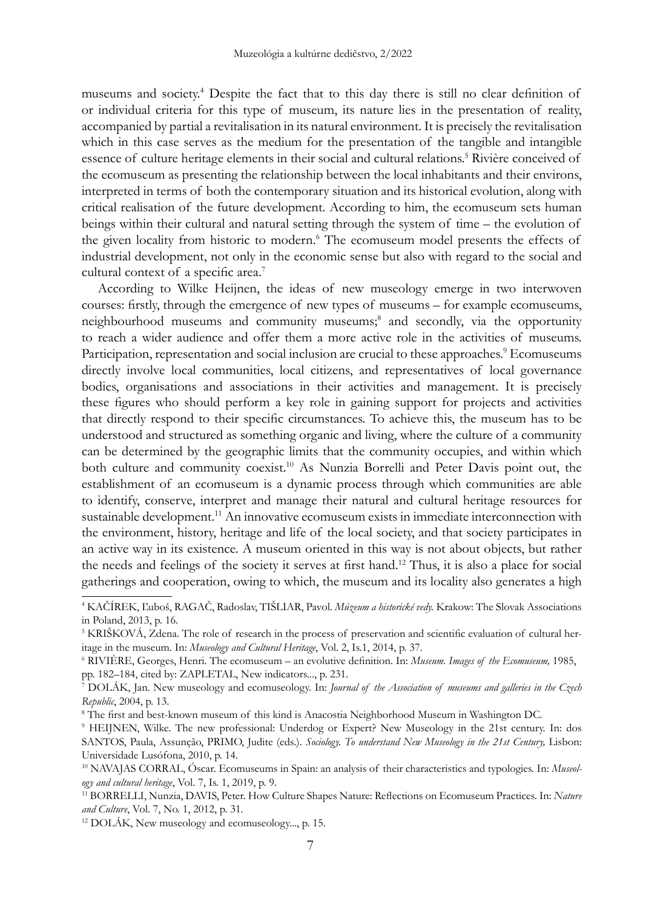museums and society.<sup>4</sup> Despite the fact that to this day there is still no clear definition of or individual criteria for this type of museum, its nature lies in the presentation of reality, accompanied by partial a revitalisation in its natural environment. It is precisely the revitalisation which in this case serves as the medium for the presentation of the tangible and intangible essence of culture heritage elements in their social and cultural relations.<sup>5</sup> Rivière conceived of the ecomuseum as presenting the relationship between the local inhabitants and their environs, interpreted in terms of both the contemporary situation and its historical evolution, along with critical realisation of the future development. According to him, the ecomuseum sets human beings within their cultural and natural setting through the system of time – the evolution of the given locality from historic to modern.<sup>6</sup> The ecomuseum model presents the effects of industrial development, not only in the economic sense but also with regard to the social and cultural context of a specific area.<sup>7</sup>

According to Wilke Heijnen, the ideas of new museology emerge in two interwoven courses: firstly, through the emergence of new types of museums – for example ecomuseums, neighbourhood museums and community museums;<sup>8</sup> and secondly, via the opportunity to reach a wider audience and offer them a more active role in the activities of museums. Participation, representation and social inclusion are crucial to these approaches.<sup>9</sup> Ecomuseums directly involve local communities, local citizens, and representatives of local governance bodies, organisations and associations in their activities and management. It is precisely these figures who should perform a key role in gaining support for projects and activities that directly respond to their specific circumstances. To achieve this, the museum has to be understood and structured as something organic and living, where the culture of a community can be determined by the geographic limits that the community occupies, and within which both culture and community coexist.<sup>10</sup> As Nunzia Borrelli and Peter Davis point out, the establishment of an ecomuseum is a dynamic process through which communities are able to identify, conserve, interpret and manage their natural and cultural heritage resources for sustainable development.<sup>11</sup> An innovative ecomuseum exists in immediate interconnection with the environment, history, heritage and life of the local society, and that society participates in an active way in its existence. A museum oriented in this way is not about objects, but rather the needs and feelings of the society it serves at first hand.12 Thus, it is also a place for social gatherings and cooperation, owing to which, the museum and its locality also generates a high

<sup>4</sup> KAČÍREK, Ľuboš, RAGAČ, Radoslav, TIŠLIAR, Pavol. *Múzeum a historické vedy.* Krakow: The Slovak Associations in Poland, 2013, p. 16.

<sup>&</sup>lt;sup>5</sup> KRIŠKOVÁ, Zdena. The role of research in the process of preservation and scientific evaluation of cultural heritage in the museum. In: *Museology and Cultural Heritage*, Vol. 2, Is.1, 2014, p. 37.

<sup>6</sup> RIVIÈRE, Georges, Henri. The ecomuseum – an evolutive definition. In: *Museum. Images of the Ecomuseum,* 1985, pp. 182–184, cited by: ZAPLETAL, New indicators..., p. 231.

<sup>7</sup> DOLÁK, Jan. New museology and ecomuseology. In: *Journal of the Association of museums and galleries in the Czech Republic*, 2004, p. 13. 8

The first and best-known museum of this kind is Anacostia Neighborhood Museum in Washington DC.

<sup>9</sup> HEIJNEN, Wilke. The new professional: Underdog or Expert? New Museology in the 21st century. In: dos SANTOS, Paula, Assunção, PRIMO, Judite (eds.). Sociology. To understand New Museology in the 21st Century, Lisbon: Universidade Lusófona, 2010, p. 14.<br><sup>10</sup> NAVAJAS CORRAL, Óscar. Ecomuseums in Spain: an analysis of their characteristics and typologies. In: *Museol-*

*ogy and cultural heritage*, Vol. 7, Is. 1, 2019, p. 9.

<sup>11</sup> BORRELLI, Nunzia, DAVIS, Peter. How Culture Shapes Nature: Reflections on Ecomuseum Practices. In: *Nature and Culture*, Vol. 7, No. 1, 2012, p. 31.

<sup>12</sup> DOLÁK, New museology and ecomuseology..., p. 15.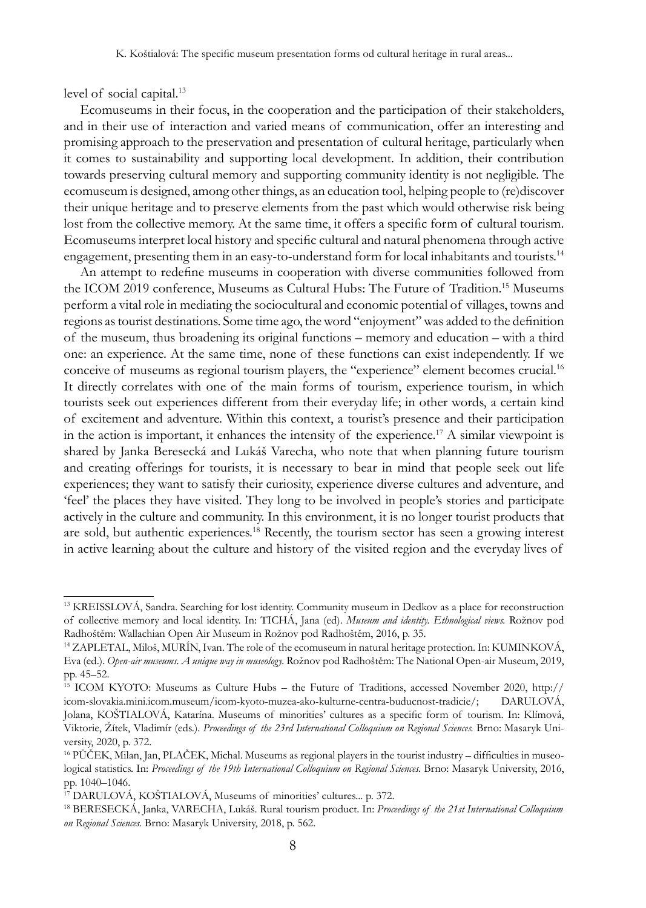level of social capital.<sup>13</sup>

Ecomuseums in their focus, in the cooperation and the participation of their stakeholders, and in their use of interaction and varied means of communication, offer an interesting and promising approach to the preservation and presentation of cultural heritage, particularly when it comes to sustainability and supporting local development. In addition, their contribution towards preserving cultural memory and supporting community identity is not negligible. The ecomuseum is designed, among other things, as an education tool, helping people to (re)discover their unique heritage and to preserve elements from the past which would otherwise risk being lost from the collective memory. At the same time, it offers a specific form of cultural tourism. Ecomuseums interpret local history and specific cultural and natural phenomena through active engagement, presenting them in an easy-to-understand form for local inhabitants and tourists.<sup>14</sup>

An attempt to redefine museums in cooperation with diverse communities followed from the ICOM 2019 conference, Museums as Cultural Hubs: The Future of Tradition.<sup>15</sup> Museums perform a vital role in mediating the sociocultural and economic potential of villages, towns and regions as tourist destinations. Some time ago, the word "enjoyment" was added to the definition of the museum, thus broadening its original functions – memory and education – with a third one: an experience. At the same time, none of these functions can exist independently. If we conceive of museums as regional tourism players, the "experience" element becomes crucial.<sup>16</sup> It directly correlates with one of the main forms of tourism, experience tourism, in which tourists seek out experiences different from their everyday life; in other words, a certain kind of excitement and adventure. Within this context, a tourist's presence and their participation in the action is important, it enhances the intensity of the experience.<sup>17</sup> A similar viewpoint is shared by Janka Beresecká and Lukáš Varecha, who note that when planning future tourism and creating offerings for tourists, it is necessary to bear in mind that people seek out life experiences; they want to satisfy their curiosity, experience diverse cultures and adventure, and 'feel' the places they have visited. They long to be involved in people's stories and participate actively in the culture and community. In this environment, it is no longer tourist products that are sold, but authentic experiences.<sup>18</sup> Recently, the tourism sector has seen a growing interest in active learning about the culture and history of the visited region and the everyday lives of

<sup>13</sup> KREISSLOVÁ, Sandra. Searching for lost identity. Community museum in Dedkov as a place for reconstruction of collective memory and local identity. In: TICHÁ, Jana (ed). *Museum and identity. Ethnological views.* Rožnov pod Radhoštěm: Wallachian Open Air Museum in Rožnov pod Radhoštěm, 2016, p. 35.

<sup>14</sup> ZAPLETAL, Miloš, MURÍN, Ivan. The role of the ecomuseum in natural heritage protection. In: KUMINKOVÁ, Eva (ed.). *Open-air museums. A unique way in museology.* Rožnov pod Radhoštěm: The National Open-air Museum, 2019, pp. 45–52.

<sup>15</sup> ICOM KYOTO: Museums as Culture Hubs – the Future of Traditions, accessed November 2020, http:// icom-slovakia.mini.icom.museum/icom-kyoto-muzea-ako-kulturne-centra-buducnost-tradicie/; DARULOVÁ, Jolana, KOŠTIALOVÁ, Katarína. Museums of minorities' cultures as a specific form of tourism. In: Klímová, Viktorie, Žítek, Vladimír (eds.). *Proceedings of the 23rd International Colloquium on Regional Sciences.* Brno: Masaryk University, 2020, p. 372.

<sup>16</sup> PŮČEK, Milan, Jan, PLAČEK, Michal. Museums as regional players in the tourist industry – difficulties in museological statistics. In: *Proceedings of the 19th International Colloquium on Regional Sciences.* Brno: Masaryk University, 2016, pp. 1040–1046.

<sup>17</sup> DARULOVÁ, KOŠTIALOVÁ, Museums of minorities' cultures... p. 372.

<sup>18</sup> BERESECKÁ, Janka, VARECHA, Lukáš. Rural tourism product. In: *Proceedings of the 21st International Colloquium on Regional Sciences.* Brno: Masaryk University, 2018, p. 562.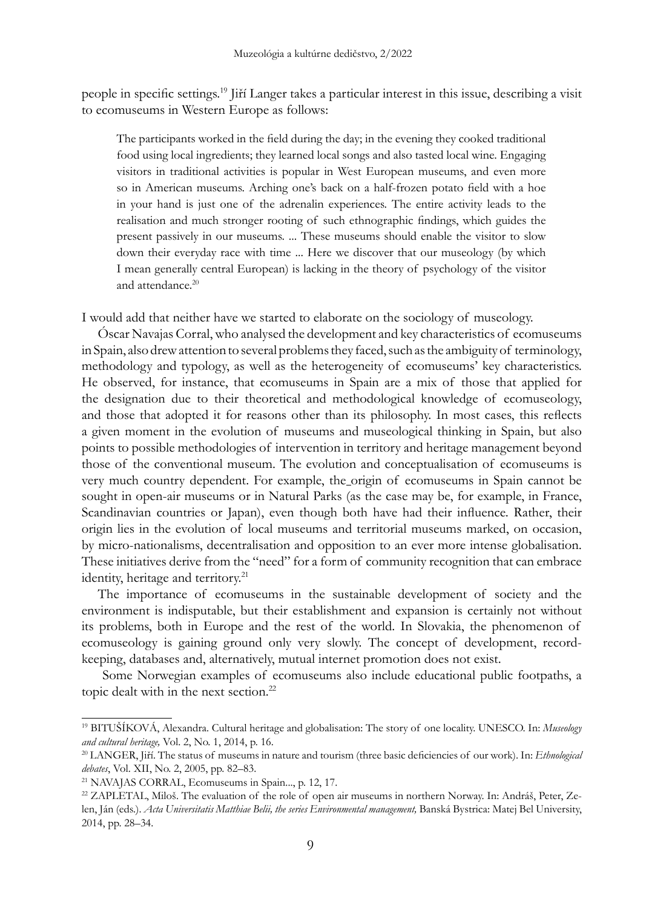people in specific settings.<sup>19</sup> Jiří Langer takes a particular interest in this issue, describing a visit to ecomuseums in Western Europe as follows:

The participants worked in the field during the day; in the evening they cooked traditional food using local ingredients; they learned local songs and also tasted local wine. Engaging visitors in traditional activities is popular in West European museums, and even more so in American museums. Arching one's back on a half-frozen potato field with a hoe in your hand is just one of the adrenalin experiences. The entire activity leads to the realisation and much stronger rooting of such ethnographic findings, which guides the present passively in our museums. ... These museums should enable the visitor to slow down their everyday race with time ... Here we discover that our museology (by which I mean generally central European) is lacking in the theory of psychology of the visitor and attendance.<sup>20</sup>

I would add that neither have we started to elaborate on the sociology of museology.

Óscar Navajas Corral, who analysed the development and key characteristics of ecomuseums in Spain, also drew attention to several problems they faced, such as the ambiguity of terminology, methodology and typology, as well as the heterogeneity of ecomuseums' key characteristics. He observed, for instance, that ecomuseums in Spain are a mix of those that applied for the designation due to their theoretical and methodological knowledge of ecomuseology, and those that adopted it for reasons other than its philosophy. In most cases, this reflects a given moment in the evolution of museums and museological thinking in Spain, but also points to possible methodologies of intervention in territory and heritage management beyond those of the conventional museum. The evolution and conceptualisation of ecomuseums is very much country dependent. For example, the origin of ecomuseums in Spain cannot be sought in open-air museums or in Natural Parks (as the case may be, for example, in France, Scandinavian countries or Japan), even though both have had their influence. Rather, their origin lies in the evolution of local museums and territorial museums marked, on occasion, by micro-nationalisms, decentralisation and opposition to an ever more intense globalisation. These initiatives derive from the "need" for a form of community recognition that can embrace identity, heritage and territory.<sup>21</sup>

The importance of ecomuseums in the sustainable development of society and the environment is indisputable, but their establishment and expansion is certainly not without its problems, both in Europe and the rest of the world. In Slovakia, the phenomenon of ecomuseology is gaining ground only very slowly. The concept of development, recordkeeping, databases and, alternatively, mutual internet promotion does not exist.

 Some Norwegian examples of ecomuseums also include educational public footpaths, a topic dealt with in the next section.<sup>22</sup>

<sup>19</sup> BITUŠÍKOVÁ, Alexandra. Cultural heritage and globalisation: The story of one locality. UNESCO. In: *Museology and cultural heritage,* Vol. 2, No. 1, 2014, p. 16.

<sup>20</sup> LANGER, Jiří. The status of museums in nature and tourism (three basic deficiencies of our work). In: *Ethnological debates*, Vol. XII, No. 2, 2005, pp. 82–83.

<sup>21</sup> NAVAJAS CORRAL, Ecomuseums in Spain..., p. 12, 17.

<sup>22</sup> ZAPLETAL, Miloš. The evaluation of the role of open air museums in northern Norway. In: Andráš, Peter, Zelen, Ján (eds.). *Acta Universitatis Matthiae Belii, the series Environmental management,* Banská Bystrica: Matej Bel University, 2014, pp. 28–34.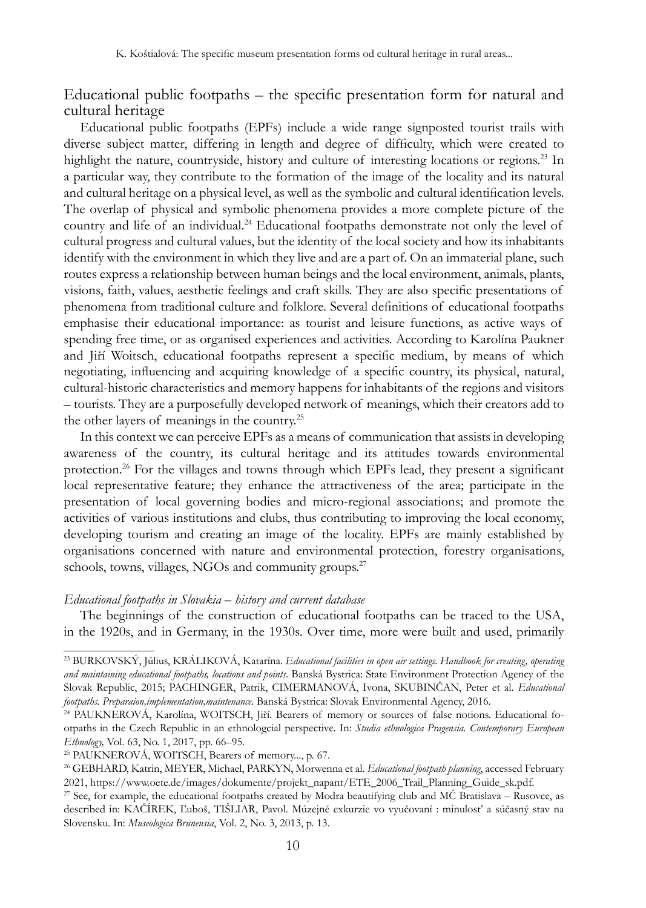## Educational public footpaths – the specific presentation form for natural and cultural heritage

Educational public footpaths (EPFs) include a wide range signposted tourist trails with diverse subject matter, differing in length and degree of difficulty, which were created to highlight the nature, countryside, history and culture of interesting locations or regions.<sup>23</sup> In a particular way, they contribute to the formation of the image of the locality and its natural and cultural heritage on a physical level, as well as the symbolic and cultural identification levels. The overlap of physical and symbolic phenomena provides a more complete picture of the country and life of an individual.<sup>24</sup> Educational footpaths demonstrate not only the level of cultural progress and cultural values, but the identity of the local society and how its inhabitants identify with the environment in which they live and are a part of. On an immaterial plane, such routes express a relationship between human beings and the local environment, animals, plants, visions, faith, values, aesthetic feelings and craft skills. They are also specific presentations of phenomena from traditional culture and folklore. Several definitions of educational footpaths emphasise their educational importance: as tourist and leisure functions, as active ways of spending free time, or as organised experiences and activities. According to Karolína Paukner and Jiří Woitsch, educational footpaths represent a specific medium, by means of which negotiating, influencing and acquiring knowledge of a specific country, its physical, natural, cultural-historic characteristics and memory happens for inhabitants of the regions and visitors – tourists. They are a purposefully developed network of meanings, which their creators add to the other layers of meanings in the country.25

In this context we can perceive EPFs as a means of communication that assists in developing awareness of the country, its cultural heritage and its attitudes towards environmental protection.26 For the villages and towns through which EPFs lead, they present a significant local representative feature; they enhance the attractiveness of the area; participate in the presentation of local governing bodies and micro-regional associations; and promote the activities of various institutions and clubs, thus contributing to improving the local economy, developing tourism and creating an image of the locality. EPFs are mainly established by organisations concerned with nature and environmental protection, forestry organisations, schools, towns, villages, NGOs and community groups.<sup>27</sup>

#### *Educational footpaths in Slovakia – history and current database*

The beginnings of the construction of educational footpaths can be traced to the USA, in the 1920s, and in Germany, in the 1930s*.* Over time, more were built and used, primarily

<sup>&</sup>lt;sup>23</sup> BURKOVSKÝ, Július, KRÁLIKOVÁ, Katarína. *Educational facilities in open air settings. Handbook for creating, operating and maintaining educational footpaths, locations and points*. Banská Bystrica: State Environment Protection Agency of the Slovak Republic, 2015; PACHINGER, Patrik, CIMERMANOVÁ, Ivona, SKUBINČAN, Peter et al. *Educational footpaths. Preparaion,implementation,maintenance.* Banská Bystrica: Slovak Environmental Agency, 2016.

<sup>&</sup>lt;sup>24</sup> PAUKNEROVÁ, Karolína, WOITSCH, Jiří. Bearers of memory or sources of false notions. Educational footpaths in the Czech Republic in an ethnologcial perspective. In: *Studia ethnologica Pragensia. Contemporary European Ethnology,* Vol. 63, No. 1, 2017, pp. 66–95.

<sup>&</sup>lt;sup>25</sup> PAUKNEROVÁ, WOITSCH, Bearers of memory..., p. 67.

<sup>26</sup> Gebhard, Katrin, Meyer, Michael, Parkyn, Morwenna et al. *Educational footpath planning*, accessed February 2021, https://www.oete.de/images/dokumente/projekt\_napant/ETE\_2006\_Trail\_Planning\_Guide\_sk.pdf.

<sup>&</sup>lt;sup>27</sup> See, for example, the educational footpaths created by Modra beautifying club and MČ Bratislava – Rusovce, as described in: KAČÍREK, Ľuboš, TIŠLIAR, Pavol. Múzejné exkurzie vo vyučovaní : minulosť a súčasný stav na Slovensku. In: *Museologica Brunensia*, Vol. 2, No. 3, 2013, p. 13.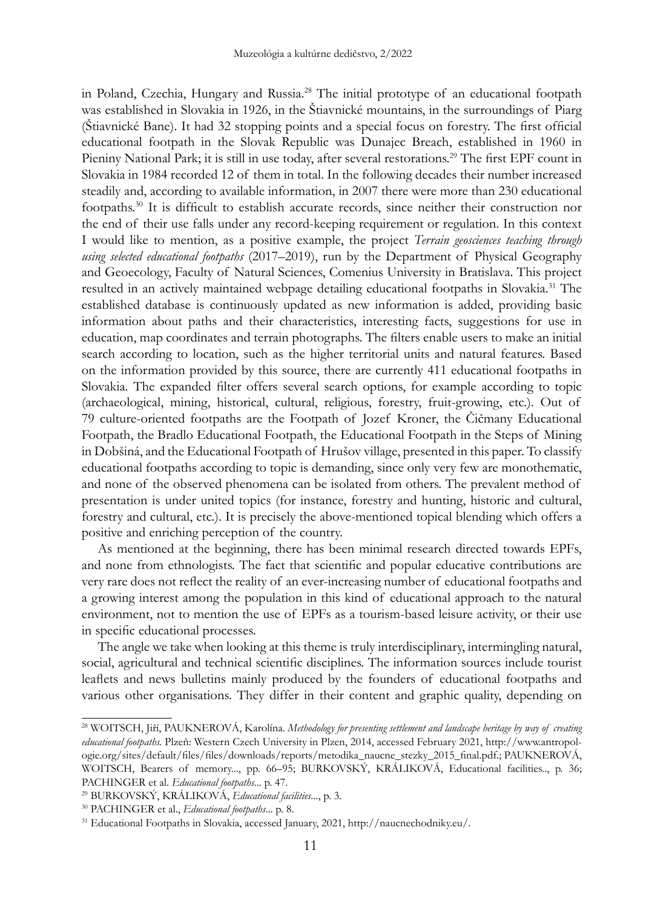in Poland, Czechia, Hungary and Russia.28 The initial prototype of an educational footpath was established in Slovakia in 1926, in the Štiavnické mountains, in the surroundings of Piarg (Štiavnické Bane). It had 32 stopping points and a special focus on forestry. The first official educational footpath in the Slovak Republic was Dunajec Breach, established in 1960 in Pieniny National Park; it is still in use today, after several restorations.29 The first EPF count in Slovakia in 1984 recorded 12 of them in total. In the following decades their number increased steadily and, according to available information, in 2007 there were more than 230 educational footpaths.30 It is difficult to establish accurate records, since neither their construction nor the end of their use falls under any record-keeping requirement or regulation. In this context I would like to mention, as a positive example, the project *Terrain geosciences teaching through using selected educational footpaths* (2017–2019), run by the Department of Physical Geography and Geoecology, Faculty of Natural Sciences, Comenius University in Bratislava. This project resulted in an actively maintained webpage detailing educational footpaths in Slovakia.<sup>31</sup> The established database is continuously updated as new information is added, providing basic information about paths and their characteristics, interesting facts, suggestions for use in education, map coordinates and terrain photographs. The filters enable users to make an initial search according to location, such as the higher territorial units and natural features. Based on the information provided by this source, there are currently 411 educational footpaths in Slovakia. The expanded filter offers several search options, for example according to topic (archaeological, mining, historical, cultural, religious, forestry, fruit-growing, etc.). Out of 79 culture-oriented footpaths are the Footpath of Jozef Kroner, the Čičmany Educational Footpath, the Bradlo Educational Footpath, the Educational Footpath in the Steps of Mining in Dobšiná, and the Educational Footpath of Hrušov village, presented in this paper. To classify educational footpaths according to topic is demanding, since only very few are monothematic, and none of the observed phenomena can be isolated from others. The prevalent method of presentation is under united topics (for instance, forestry and hunting, historic and cultural, forestry and cultural, etc.). It is precisely the above-mentioned topical blending which offers a positive and enriching perception of the country.

As mentioned at the beginning, there has been minimal research directed towards EPFs, and none from ethnologists. The fact that scientific and popular educative contributions are very rare does not reflect the reality of an ever-increasing number of educational footpaths and a growing interest among the population in this kind of educational approach to the natural environment, not to mention the use of EPFs as a tourism-based leisure activity, or their use in specific educational processes.

The angle we take when looking at this theme is truly interdisciplinary, intermingling natural, social, agricultural and technical scientific disciplines. The information sources include tourist leaflets and news bulletins mainly produced by the founders of educational footpaths and various other organisations. They differ in their content and graphic quality, depending on

<sup>&</sup>lt;sup>28</sup> WOITSCH, Jiří, PAUKNEROVÁ, Karolína. *Methodology for presenting settlement and landscape heritage by way of creating educational footpaths.* Plzeň: Western Czech University in Plzen, 2014, accessed February 2021, http://www.antropologie.org/sites/default/files/files/downloads/reports/metodika\_naucne\_stezky\_2015\_final.pdf.; Pauknerová, WOITSCH, Bearers of memory..., pp. 66-95; BURKOVSKÝ, KRÁLIKOVÁ, Educational facilities.., p. 36; PACHINGER et al. *Educational footpaths*... p. 47.

<sup>29</sup> BURKOVSKÝ, KRÁLIKOVÁ, *Educational facilities*..., p. 3.

<sup>30</sup> PACHINGER et al., *Educational footpaths*... p. 8.

<sup>31</sup> Educational Footpaths in Slovakia, accessed January, 2021, http://naucnechodniky.eu/.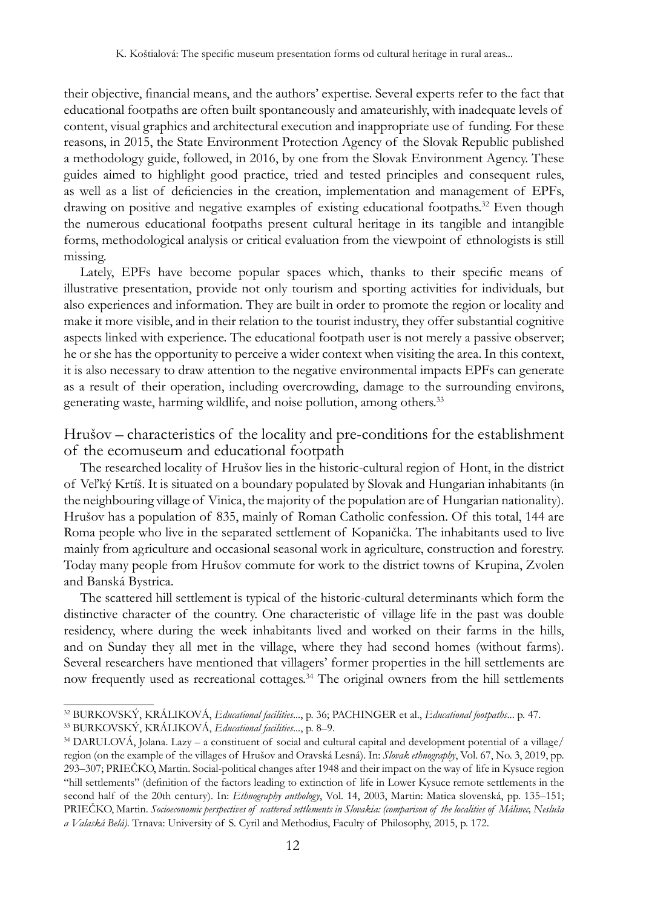their objective, financial means, and the authors' expertise. Several experts refer to the fact that educational footpaths are often built spontaneously and amateurishly, with inadequate levels of content, visual graphics and architectural execution and inappropriate use of funding. For these reasons, in 2015, the State Environment Protection Agency of the Slovak Republic published a methodology guide, followed, in 2016, by one from the Slovak Environment Agency. These guides aimed to highlight good practice, tried and tested principles and consequent rules, as well as a list of deficiencies in the creation, implementation and management of EPFs, drawing on positive and negative examples of existing educational footpaths.<sup>32</sup> Even though the numerous educational footpaths present cultural heritage in its tangible and intangible forms, methodological analysis or critical evaluation from the viewpoint of ethnologists is still missing.

Lately, EPFs have become popular spaces which, thanks to their specific means of illustrative presentation, provide not only tourism and sporting activities for individuals, but also experiences and information. They are built in order to promote the region or locality and make it more visible, and in their relation to the tourist industry, they offer substantial cognitive aspects linked with experience. The educational footpath user is not merely a passive observer; he or she has the opportunity to perceive a wider context when visiting the area. In this context, it is also necessary to draw attention to the negative environmental impacts EPFs can generate as a result of their operation, including overcrowding, damage to the surrounding environs, generating waste, harming wildlife, and noise pollution, among others.<sup>33</sup>

Hrušov – characteristics of the locality and pre-conditions for the establishment of the ecomuseum and educational footpath

The researched locality of Hrušov lies in the historic-cultural region of Hont, in the district of Veľký Krtíš. It is situated on a boundary populated by Slovak and Hungarian inhabitants (in the neighbouring village of Vinica, the majority of the population are of Hungarian nationality). Hrušov has a population of 835, mainly of Roman Catholic confession. Of this total, 144 are Roma people who live in the separated settlement of Kopanička. The inhabitants used to live mainly from agriculture and occasional seasonal work in agriculture, construction and forestry. Today many people from Hrušov commute for work to the district towns of Krupina, Zvolen and Banská Bystrica.

The scattered hill settlement is typical of the historic-cultural determinants which form the distinctive character of the country. One characteristic of village life in the past was double residency, where during the week inhabitants lived and worked on their farms in the hills, and on Sunday they all met in the village, where they had second homes (without farms). Several researchers have mentioned that villagers' former properties in the hill settlements are now frequently used as recreational cottages.<sup>34</sup> The original owners from the hill settlements

<sup>32</sup> BURKOVSKÝ, KRÁLIKOVÁ, *Educational facilities*..., p. 36; PACHINGER et al., *Educational footpaths*... p. 47. 33 BURKOVSKÝ, KRÁLIKOVÁ, *Educational facilities*..., p. 8–9.

<sup>34</sup> DARULOVÁ, Jolana. Lazy – a constituent of social and cultural capital and development potential of a village/ region (on the example of the villages of Hrušov and Oravská Lesná). In: *Slovak ethnography*, Vol. 67, No. 3, 2019, pp. 293–307; PRIEČKO, Martin. Social-political changes after 1948 and their impact on the way of life in Kysuce region "hill settlements" (definition of the factors leading to extinction of life in Lower Kysuce remote settlements in the second half of the 20th century). In: *Ethnography anthology*, Vol. 14, 2003, Martin: Matica slovenská, pp. 135–151; PRIEČKO, Martin. *Socioeconomic perspectives of scattered settlements in Slovakia: (comparison of the localities of Málinec, Nesluša a Valaská Belá).* Trnava: University of S. Cyril and Methodius, Faculty of Philosophy, 2015, p. 172.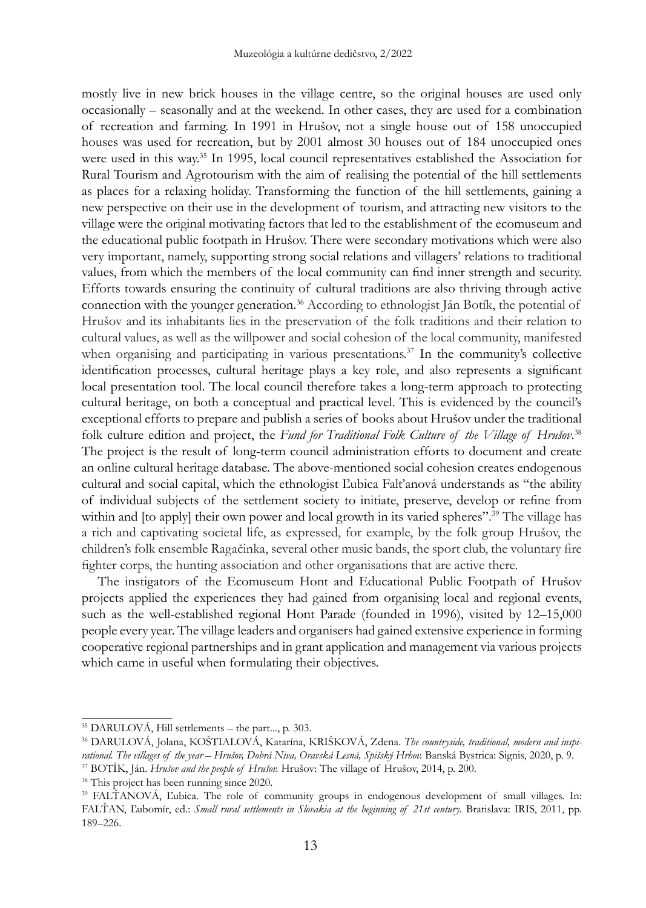mostly live in new brick houses in the village centre, so the original houses are used only occasionally – seasonally and at the weekend. In other cases, they are used for a combination of recreation and farming. In 1991 in Hrušov, not a single house out of 158 unoccupied houses was used for recreation, but by 2001 almost 30 houses out of 184 unoccupied ones were used in this way.<sup>35</sup> In 1995, local council representatives established the Association for Rural Tourism and Agrotourism with the aim of realising the potential of the hill settlements as places for a relaxing holiday. Transforming the function of the hill settlements, gaining a new perspective on their use in the development of tourism, and attracting new visitors to the village were the original motivating factors that led to the establishment of the ecomuseum and the educational public footpath in Hrušov. There were secondary motivations which were also very important, namely, supporting strong social relations and villagers' relations to traditional values, from which the members of the local community can find inner strength and security. Efforts towards ensuring the continuity of cultural traditions are also thriving through active connection with the younger generation.<sup>36</sup> According to ethnologist Ján Botík, the potential of Hrušov and its inhabitants lies in the preservation of the folk traditions and their relation to cultural values, as well as the willpower and social cohesion of the local community, manifested when organising and participating in various presentations.<sup>37</sup> In the community's collective identification processes, cultural heritage plays a key role, and also represents a significant local presentation tool. The local council therefore takes a long-term approach to protecting cultural heritage, on both a conceptual and practical level. This is evidenced by the council's exceptional efforts to prepare and publish a series of books about Hrušov under the traditional folk culture edition and project, the Fund for Traditional Folk Culture of the Village of Hrušov.<sup>38</sup> The project is the result of long-term council administration efforts to document and create an online cultural heritage database. The above-mentioned social cohesion creates endogenous cultural and social capital, which the ethnologist Ľubica Falťanová understands as "the ability of individual subjects of the settlement society to initiate, preserve, develop or refine from within and [to apply] their own power and local growth in its varied spheres".<sup>39</sup> The village has a rich and captivating societal life, as expressed, for example, by the folk group Hrušov, the children's folk ensemble Ragačinka, several other music bands, the sport club, the voluntary fire fighter corps, the hunting association and other organisations that are active there.

The instigators of the Ecomuseum Hont and Educational Public Footpath of Hrušov projects applied the experiences they had gained from organising local and regional events, such as the well-established regional Hont Parade (founded in 1996), visited by 12–15,000 people every year. The village leaders and organisers had gained extensive experience in forming cooperative regional partnerships and in grant application and management via various projects which came in useful when formulating their objectives.

<sup>35</sup> DARULOVÁ, Hill settlements – the part..., p. 303.

<sup>36</sup> DARULOVÁ, Jolana, KOŠTIALOVÁ, Katarína, Krišková, Zdena. *The countryside, traditional, modern and inspi*rational. The villages of the year – Hrušov, Dobrá Niva, Oravská Lesná, Spišský Hrbov. Banská Bystrica: Signis, 2020, p. 9.<br><sup>37</sup> BOTÍK, Ján. Hrušov and the people of Hrušov. Hrušov: The village of Hrušov, 2014, p. 200.

<sup>38</sup> This project has been running since 2020.

<sup>&</sup>lt;sup>39</sup> FALTANOVÁ, Lubica. The role of community groups in endogenous development of small villages. In: FALTAN, Ľubomír, ed.: *Small rural settlements in Slovakia at the beginning of 21st century*. Bratislava: IRIS, 2011, pp. 189–226.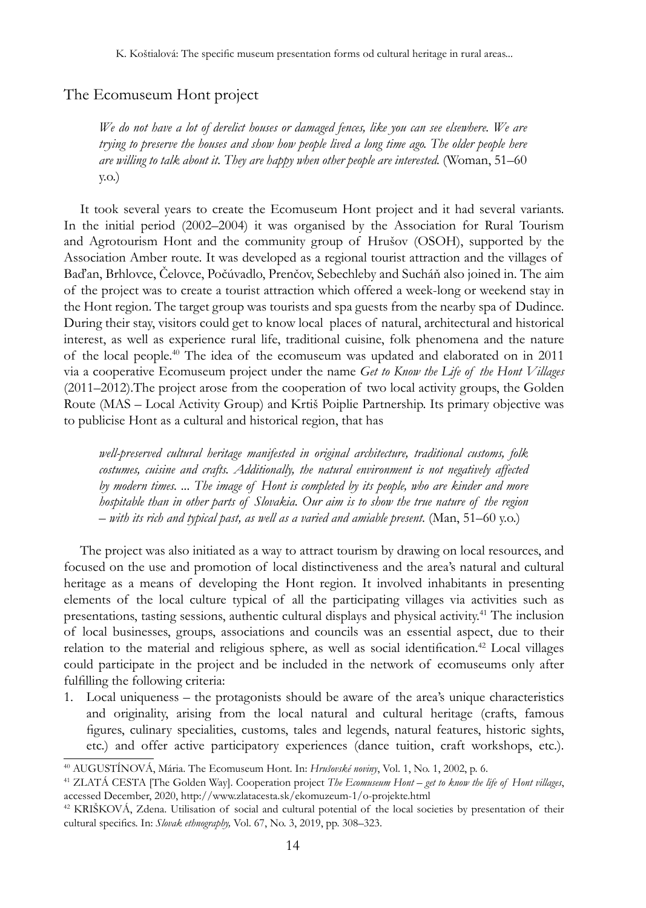### The Ecomuseum Hont project

*We do not have a lot of derelict houses or damaged fences, like you can see elsewhere. We are trying to preserve the houses and show how people lived a long time ago. The older people here are willing to talk about it. They are happy when other people are interested.* (Woman, 51–60 y.o.)

It took several years to create the Ecomuseum Hont project and it had several variants. In the initial period (2002–2004) it was organised by the Association for Rural Tourism and Agrotourism Hont and the community group of Hrušov (OSOH), supported by the Association Amber route. It was developed as a regional tourist attraction and the villages of Baďan, Brhlovce, Čelovce, Počúvadlo, Prenčov, Sebechleby and Sucháň also joined in. The aim of the project was to create a tourist attraction which offered a week-long or weekend stay in the Hont region. The target group was tourists and spa guests from the nearby spa of Dudince. During their stay, visitors could get to know local places of natural, architectural and historical interest, as well as experience rural life, traditional cuisine, folk phenomena and the nature of the local people.40 The idea of the ecomuseum was updated and elaborated on in 2011 via a cooperative Ecomuseum project under the name *Get to Know the Life of the Hont Villages* (2011–2012).The project arose from the cooperation of two local activity groups, the Golden Route (MAS – Local Activity Group) and Krtiš Poiplie Partnership. Its primary objective was to publicise Hont as a cultural and historical region, that has

*well-preserved cultural heritage manifested in original architecture, traditional customs, folk costumes, cuisine and crafts. Additionally, the natural environment is not negatively affected by modern times. ... The image of Hont is completed by its people, who are kinder and more hospitable than in other parts of Slovakia. Our aim is to show the true nature of the region – with its rich and typical past, as well as a varied and amiable present*. (Man, 51–60 y.o.)

The project was also initiated as a way to attract tourism by drawing on local resources, and focused on the use and promotion of local distinctiveness and the area's natural and cultural heritage as a means of developing the Hont region. It involved inhabitants in presenting elements of the local culture typical of all the participating villages via activities such as presentations, tasting sessions, authentic cultural displays and physical activity.<sup>41</sup> The inclusion of local businesses, groups, associations and councils was an essential aspect, due to their relation to the material and religious sphere, as well as social identification.<sup>42</sup> Local villages could participate in the project and be included in the network of ecomuseums only after fulfilling the following criteria:

1. Local uniqueness – the protagonists should be aware of the area's unique characteristics and originality, arising from the local natural and cultural heritage (crafts, famous figures, culinary specialities, customs, tales and legends, natural features, historic sights, etc.) and offer active participatory experiences (dance tuition, craft workshops, etc.).

<sup>40</sup> AUGUSTÍNOVÁ, Mária. The Ecomuseum Hont. In: *Hrušovské noviny*, Vol. 1, No. 1, 2002, p. 6.

<sup>&</sup>lt;sup>41</sup> ZLATÁ CESTA [The Golden Way]. Cooperation project The Ecomuseum Hont – get to know the life of Hont villages, accessed December, 2020, http://www.zlatacesta.sk/ekomuzeum-1/o-projekte.html

<sup>&</sup>lt;sup>42</sup> KRIŠKOVÁ, Zdena. Utilisation of social and cultural potential of the local societies by presentation of their cultural specifics. In: *Slovak ethnography,* Vol. 67, No. 3, 2019, pp. 308–323.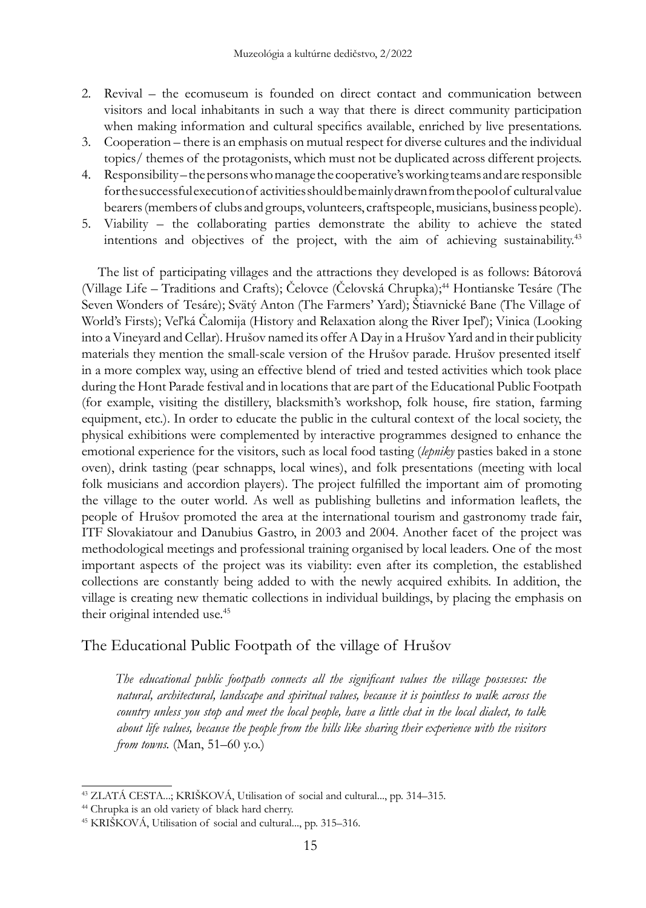- 2. Revival the ecomuseum is founded on direct contact and communication between visitors and local inhabitants in such a way that there is direct community participation when making information and cultural specifics available, enriched by live presentations.
- 3. Cooperation there is an emphasis on mutual respect for diverse cultures and the individual topics/ themes of the protagonists, which must not be duplicated across different projects.
- 4. Responsibility the persons who manage the cooperative's working teams and are responsible for the successful execution of activities should be mainly drawn from the pool of cultural value bearers (members of clubs and groups, volunteers, craftspeople, musicians, business people).
- 5. Viability the collaborating parties demonstrate the ability to achieve the stated intentions and objectives of the project, with the aim of achieving sustainability.43

The list of participating villages and the attractions they developed is as follows: Bátorová (Village Life – Traditions and Crafts); Čelovce (Čelovská Chrupka);<sup>44</sup> Hontianske Tesáre (The Seven Wonders of Tesáre); Svätý Anton (The Farmers' Yard); Štiavnické Bane (The Village of World's Firsts); Veľká Čalomija (History and Relaxation along the River Ipeľ); Vinica (Looking into a Vineyard and Cellar). Hrušov named its offer A Day in a Hrušov Yard and in their publicity materials they mention the small-scale version of the Hrušov parade. Hrušov presented itself in a more complex way, using an effective blend of tried and tested activities which took place during the Hont Parade festival and in locations that are part of the Educational Public Footpath (for example, visiting the distillery, blacksmith's workshop, folk house, fire station, farming equipment, etc.). In order to educate the public in the cultural context of the local society, the physical exhibitions were complemented by interactive programmes designed to enhance the emotional experience for the visitors, such as local food tasting (*lepniky* pasties baked in a stone oven), drink tasting (pear schnapps, local wines), and folk presentations (meeting with local folk musicians and accordion players). The project fulfilled the important aim of promoting the village to the outer world. As well as publishing bulletins and information leaflets, the people of Hrušov promoted the area at the international tourism and gastronomy trade fair, ITF Slovakiatour and Danubius Gastro, in 2003 and 2004. Another facet of the project was methodological meetings and professional training organised by local leaders. One of the most important aspects of the project was its viability: even after its completion, the established collections are constantly being added to with the newly acquired exhibits. In addition, the village is creating new thematic collections in individual buildings, by placing the emphasis on their original intended use.<sup>45</sup>

## The Educational Public Footpath of the village of Hrušov

*The educational public footpath connects all the significant values the village possesses: the natural, architectural, landscape and spiritual values, because it is pointless to walk across the country unless you stop and meet the local people, have a little chat in the local dialect, to talk about life values, because the people from the hills like sharing their experience with the visitors from towns.* (Man, 51–60 y.o.)

<sup>43</sup> Zlatá cesta*.*..; KRIŠKOVÁ, Utilisation of social and cultural..., pp. 314–315.

<sup>44</sup> Chrupka is an old variety of black hard cherry.

<sup>45</sup> KRIŠKOVÁ, Utilisation of social and cultural..., pp. 315–316.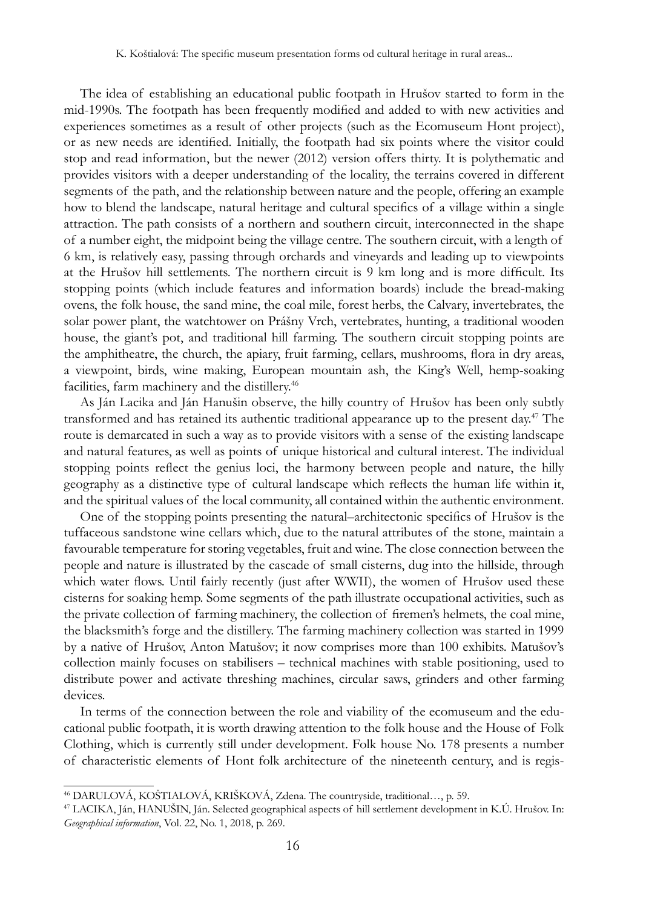The idea of establishing an educational public footpath in Hrušov started to form in the mid-1990s. The footpath has been frequently modified and added to with new activities and experiences sometimes as a result of other projects (such as the Ecomuseum Hont project), or as new needs are identified. Initially, the footpath had six points where the visitor could stop and read information, but the newer (2012) version offers thirty. It is polythematic and provides visitors with a deeper understanding of the locality, the terrains covered in different segments of the path, and the relationship between nature and the people, offering an example how to blend the landscape, natural heritage and cultural specifics of a village within a single attraction. The path consists of a northern and southern circuit, interconnected in the shape of a number eight, the midpoint being the village centre. The southern circuit, with a length of 6 km, is relatively easy, passing through orchards and vineyards and leading up to viewpoints at the Hrušov hill settlements. The northern circuit is 9 km long and is more difficult. Its stopping points (which include features and information boards) include the bread-making ovens, the folk house, the sand mine, the coal mile, forest herbs, the Calvary, invertebrates, the solar power plant, the watchtower on Prášny Vrch, vertebrates, hunting, a traditional wooden house, the giant's pot, and traditional hill farming. The southern circuit stopping points are the amphitheatre, the church, the apiary, fruit farming, cellars, mushrooms, flora in dry areas, a viewpoint, birds, wine making, European mountain ash, the King's Well, hemp-soaking facilities, farm machinery and the distillery.<sup>46</sup>

As Ján Lacika and Ján Hanušin observe, the hilly country of Hrušov has been only subtly transformed and has retained its authentic traditional appearance up to the present day.<sup>47</sup> The route is demarcated in such a way as to provide visitors with a sense of the existing landscape and natural features, as well as points of unique historical and cultural interest. The individual stopping points reflect the genius loci, the harmony between people and nature, the hilly geography as a distinctive type of cultural landscape which reflects the human life within it, and the spiritual values of the local community, all contained within the authentic environment.

One of the stopping points presenting the natural–architectonic specifics of Hrušov is the tuffaceous sandstone wine cellars which, due to the natural attributes of the stone, maintain a favourable temperature for storing vegetables, fruit and wine. The close connection between the people and nature is illustrated by the cascade of small cisterns, dug into the hillside, through which water flows. Until fairly recently (just after WWII), the women of Hrušov used these cisterns for soaking hemp. Some segments of the path illustrate occupational activities, such as the private collection of farming machinery, the collection of firemen's helmets, the coal mine, the blacksmith's forge and the distillery. The farming machinery collection was started in 1999 by a native of Hrušov, Anton Matušov; it now comprises more than 100 exhibits. Matušov's collection mainly focuses on stabilisers – technical machines with stable positioning, used to distribute power and activate threshing machines, circular saws, grinders and other farming devices.

In terms of the connection between the role and viability of the ecomuseum and the educational public footpath, it is worth drawing attention to the folk house and the House of Folk Clothing, which is currently still under development. Folk house No. 178 presents a number of characteristic elements of Hont folk architecture of the nineteenth century, and is regis-

<sup>46</sup> DARULOVÁ, KOŠTIALOVÁ, Krišková, Zdena. The countryside, traditional…, p. 59.

<sup>47</sup> LACIKA, Ján, HANUŠIN, Ján. Selected geographical aspects of hill settlement development in K.Ú. Hrušov. In: *Geographical information*, Vol. 22, No. 1, 2018, p. 269.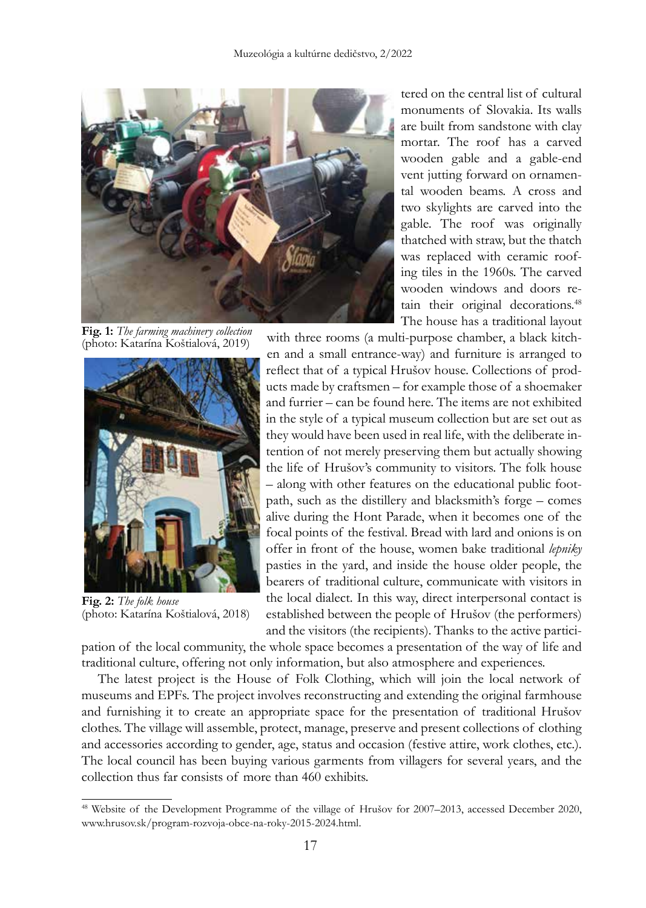

**Fig. 1:** *The farming machinery collection* (photo: Katarína Koštialová, 2019)



**Fig. 2:** *The folk house* (photo: Katarína Koštialová, 2018)

tered on the central list of cultural monuments of Slovakia. Its walls are built from sandstone with clay mortar. The roof has a carved wooden gable and a gable-end vent jutting forward on ornamental wooden beams. A cross and two skylights are carved into the gable. The roof was originally thatched with straw, but the thatch was replaced with ceramic roofing tiles in the 1960s. The carved wooden windows and doors retain their original decorations.<sup>48</sup> The house has a traditional layout

with three rooms (a multi-purpose chamber, a black kitchen and a small entrance-way) and furniture is arranged to

reflect that of a typical Hrušov house. Collections of products made by craftsmen – for example those of a shoemaker and furrier – can be found here. The items are not exhibited in the style of a typical museum collection but are set out as they would have been used in real life, with the deliberate intention of not merely preserving them but actually showing the life of Hrušov's community to visitors. The folk house – along with other features on the educational public footpath, such as the distillery and blacksmith's forge – comes alive during the Hont Parade, when it becomes one of the focal points of the festival. Bread with lard and onions is on offer in front of the house, women bake traditional *lepniky* pasties in the yard, and inside the house older people, the bearers of traditional culture, communicate with visitors in the local dialect. In this way, direct interpersonal contact is

established between the people of Hrušov (the performers) and the visitors (the recipients). Thanks to the active partici-

pation of the local community, the whole space becomes a presentation of the way of life and traditional culture, offering not only information, but also atmosphere and experiences.

The latest project is the House of Folk Clothing, which will join the local network of museums and EPFs. The project involves reconstructing and extending the original farmhouse and furnishing it to create an appropriate space for the presentation of traditional Hrušov clothes. The village will assemble, protect, manage, preserve and present collections of clothing and accessories according to gender, age, status and occasion (festive attire, work clothes, etc.). The local council has been buying various garments from villagers for several years, and the collection thus far consists of more than 460 exhibits.

<sup>48</sup> Website of the Development Programme of the village of Hrušov for 2007–2013, accessed December 2020, www.hrusov.sk/program-rozvoja-obce-na-roky-2015-2024.html.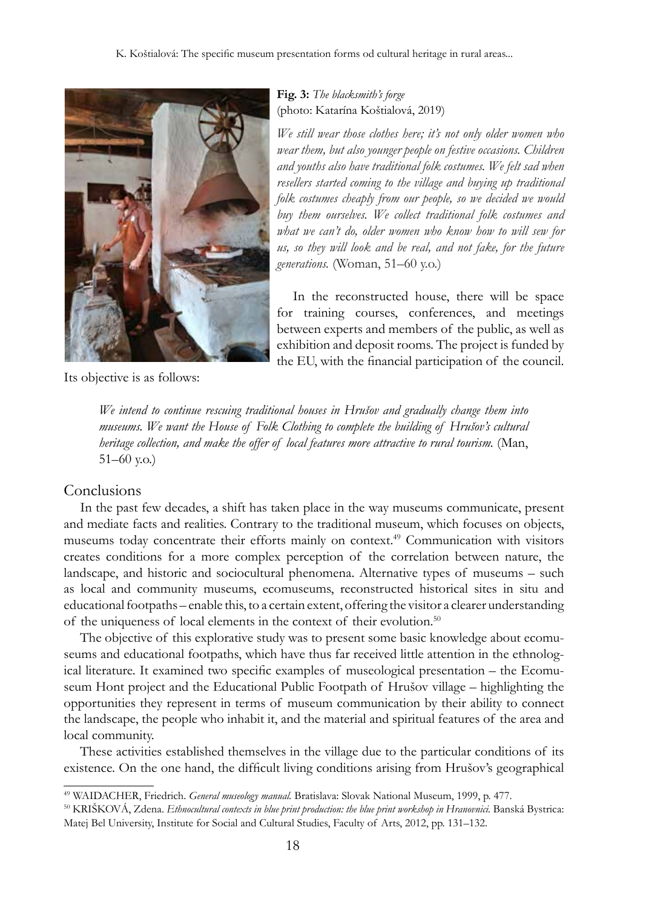

Its objective is as follows:

### **Fig. 3:** *The blacksmith's forge* (photo: Katarína Koštialová, 2019)

*We still wear those clothes here; it's not only older women who wear them, but also younger people on festive occasions. Children and youths also have traditional folk costumes. We felt sad when resellers started coming to the village and buying up traditional folk costumes cheaply from our people, so we decided we would buy them ourselves. We collect traditional folk costumes and what we can't do, older women who know how to will sew for us, so they will look and be real, and not fake, for the future generations.* (Woman, 51–60 y.o.)

In the reconstructed house, there will be space for training courses, conferences, and meetings between experts and members of the public, as well as exhibition and deposit rooms. The project is funded by the EU, with the financial participation of the council.

*We intend to continue rescuing traditional houses in Hrušov and gradually change them into museums. We want the House of Folk Clothing to complete the building of Hrušov's cultural heritage collection, and make the offer of local features more attractive to rural tourism.* (Man, 51–60 y.o.)

#### Conclusions

In the past few decades, a shift has taken place in the way museums communicate, present and mediate facts and realities. Contrary to the traditional museum, which focuses on objects, museums today concentrate their efforts mainly on context.<sup>49</sup> Communication with visitors creates conditions for a more complex perception of the correlation between nature, the landscape, and historic and sociocultural phenomena. Alternative types of museums – such as local and community museums, ecomuseums, reconstructed historical sites in situ and educational footpaths – enable this, to a certain extent, offering the visitor a clearer understanding of the uniqueness of local elements in the context of their evolution.<sup>50</sup>

The objective of this explorative study was to present some basic knowledge about ecomuseums and educational footpaths, which have thus far received little attention in the ethnological literature. It examined two specific examples of museological presentation – the Ecomuseum Hont project and the Educational Public Footpath of Hrušov village – highlighting the opportunities they represent in terms of museum communication by their ability to connect the landscape, the people who inhabit it, and the material and spiritual features of the area and local community.

These activities established themselves in the village due to the particular conditions of its existence. On the one hand, the difficult living conditions arising from Hrušov's geographical

<sup>49</sup> WAIDACHER, Friedrich. *General museology manual.* Bratislava: Slovak National Museum, 1999, p. 477.

<sup>50</sup> KRIŠKOVÁ, Zdena. *Ethnocultural contexts in blue print production: the blue print workshop in Hranovnici.* Banská Bystrica: Matej Bel University, Institute for Social and Cultural Studies, Faculty of Arts, 2012, pp. 131–132.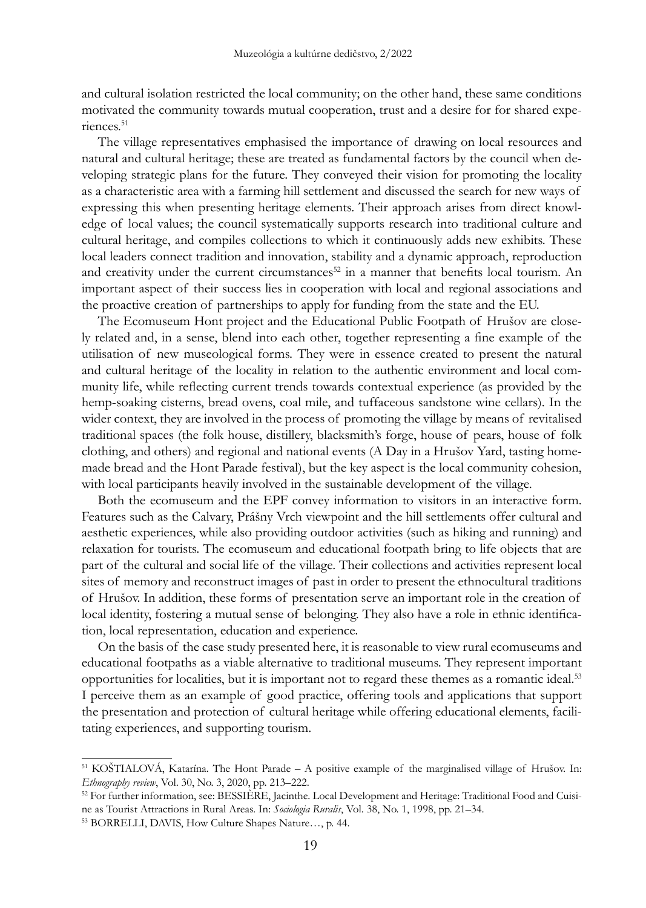and cultural isolation restricted the local community; on the other hand, these same conditions motivated the community towards mutual cooperation, trust and a desire for for shared experiences.<sup>51</sup>

The village representatives emphasised the importance of drawing on local resources and natural and cultural heritage; these are treated as fundamental factors by the council when developing strategic plans for the future. They conveyed their vision for promoting the locality as a characteristic area with a farming hill settlement and discussed the search for new ways of expressing this when presenting heritage elements. Their approach arises from direct knowledge of local values; the council systematically supports research into traditional culture and cultural heritage, and compiles collections to which it continuously adds new exhibits. These local leaders connect tradition and innovation, stability and a dynamic approach, reproduction and creativity under the current circumstances<sup>52</sup> in a manner that benefits local tourism. An important aspect of their success lies in cooperation with local and regional associations and the proactive creation of partnerships to apply for funding from the state and the EU.

The Ecomuseum Hont project and the Educational Public Footpath of Hrušov are closely related and, in a sense, blend into each other, together representing a fine example of the utilisation of new museological forms. They were in essence created to present the natural and cultural heritage of the locality in relation to the authentic environment and local community life, while reflecting current trends towards contextual experience (as provided by the hemp-soaking cisterns, bread ovens, coal mile, and tuffaceous sandstone wine cellars). In the wider context, they are involved in the process of promoting the village by means of revitalised traditional spaces (the folk house, distillery, blacksmith's forge, house of pears, house of folk clothing, and others) and regional and national events (A Day in a Hrušov Yard, tasting homemade bread and the Hont Parade festival), but the key aspect is the local community cohesion, with local participants heavily involved in the sustainable development of the village.

Both the ecomuseum and the EPF convey information to visitors in an interactive form. Features such as the Calvary, Prášny Vrch viewpoint and the hill settlements offer cultural and aesthetic experiences, while also providing outdoor activities (such as hiking and running) and relaxation for tourists. The ecomuseum and educational footpath bring to life objects that are part of the cultural and social life of the village. Their collections and activities represent local sites of memory and reconstruct images of past in order to present the ethnocultural traditions of Hrušov. In addition, these forms of presentation serve an important role in the creation of local identity, fostering a mutual sense of belonging. They also have a role in ethnic identification, local representation, education and experience.

On the basis of the case study presented here, it is reasonable to view rural ecomuseums and educational footpaths as a viable alternative to traditional museums. They represent important opportunities for localities, but it is important not to regard these themes as a romantic ideal.<sup>53</sup> I perceive them as an example of good practice, offering tools and applications that support the presentation and protection of cultural heritage while offering educational elements, facilitating experiences, and supporting tourism.

<sup>51</sup> KOŠTIALOVÁ, Katarína. The Hont Parade – A positive example of the marginalised village of Hrušov. In: *Ethnography review*, Vol. 30, No. 3, 2020, pp. 213–222.

<sup>&</sup>lt;sup>52</sup> For further information, see: BESSIÈRE, Jacinthe. Local Development and Heritage: Traditional Food and Cuisine as Tourist Attractions in Rural Areas. In: *Sociologia Ruralis*, Vol. 38, No. 1, 1998, pp. 21–34.

<sup>53</sup> BORRELLI, DAVIS, How Culture Shapes Nature…, p. 44.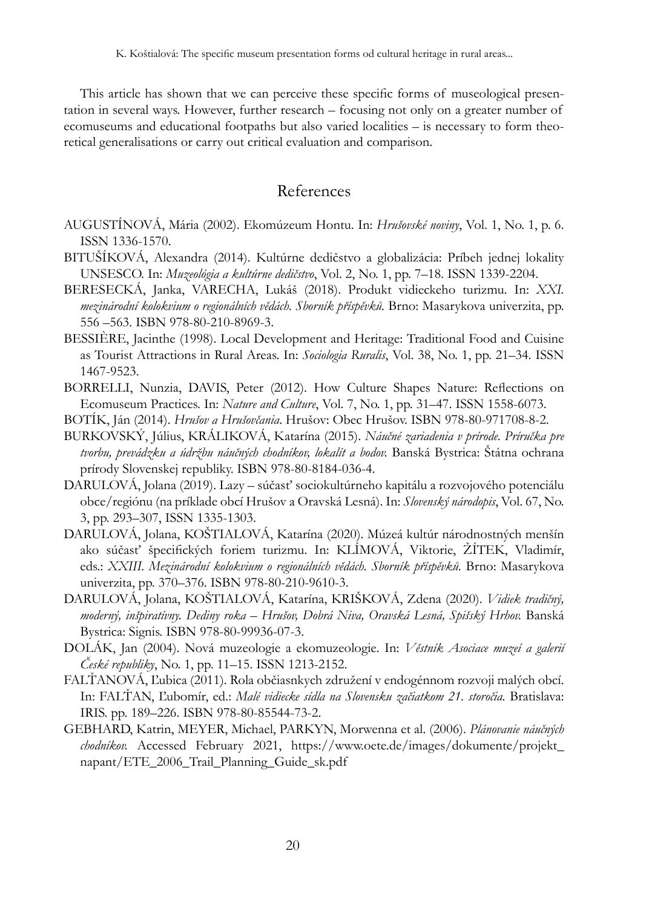This article has shown that we can perceive these specific forms of museological presentation in several ways. However, further research – focusing not only on a greater number of ecomuseums and educational footpaths but also varied localities – is necessary to form theoretical generalisations or carry out critical evaluation and comparison.

## References

- Augustínová, Mária (2002). Ekomúzeum Hontu. In: *Hrušovské noviny*, Vol. 1, No. 1, p. 6. ISSN 1336-1570.
- BITUŠÍKOVÁ, Alexandra (2014). Kultúrne dedičstvo a globalizácia: Príbeh jednej lokality UNSESCO. In: *Muzeológia a kultúrne dedičstvo*, Vol. 2, No. 1, pp. 7–18. ISSN 1339-2204.
- BERESECKÁ, Janka, VARECHA, Lukáš (2018). Produkt vidieckeho turizmu. In: *XXI. mezinárodní kolokvium o regionálních vědách. Sborník příspěvků.* Brno: Masarykova univerzita, pp. 556 –563. ISBN 978-80-210-8969-3.
- BESSIÈRE, Jacinthe (1998). Local Development and Heritage: Traditional Food and Cuisine as Tourist Attractions in Rural Areas. In: *Sociologia Ruralis*, Vol. 38, No. 1, pp. 21–34. ISSN 1467-9523.
- BORRELLI, Nunzia, DAVIS, Peter (2012). How Culture Shapes Nature: Reflections on Ecomuseum Practices. In: *Nature and Culture*, Vol. 7, No. 1, pp. 31–47. ISSN 1558-6073.
- Botík, Ján (2014). *Hrušov a Hrušovčania*. Hrušov: Obec Hrušov. ISBN 978-80-971708-8-2.
- Burkovský, Július, Králiková, Katarína (2015). *Náučné zariadenia v prírode. Príručka pre tvorbu, prevádzku a údržbu náučných chodníkov, lokalít a bodov.* Banská Bystrica: Štátna ochrana prírody Slovenskej republiky. ISBN 978-80-8184-036-4.
- DARULOVÁ, Jolana (2019). Lazy súčasť sociokultúrneho kapitálu a rozvojového potenciálu obce/regiónu (na príklade obcí Hrušov a Oravská Lesná). In: *Slovenský národopis*, Vol. 67, No. 3, pp. 293–307, ISSN 1335-1303.
- DARULOVÁ, Jolana, KOŠTIALOVÁ, Katarína (2020). Múzeá kultúr národnostných menšín ako súčasť špecifických foriem turizmu. In: KLÍMOVÁ, Viktorie, ŽÍTEK, Vladimír, eds.: *XXIII. Mezinárodní kolokvium o regionálních vědách. Sborník příspěvků.* Brno: Masarykova univerzita, pp. 370–376. ISBN 978-80-210-9610-3.
- DARULOVÁ, Jolana, KOŠTIALOVÁ, Katarína, Krišková, Zdena (2020). *Vidiek tradičný, moderný, inšpiratívny. Dediny roka – Hrušov, Dobrá Niva, Oravská Lesná, Spišský Hrhov.* Banská Bystrica: Signis. ISBN 978-80-99936-07-3.
- DOLÁK, Jan (2004). Nová muzeologie a ekomuzeologie. In: *Věstník Asociace muzeí a galerií České republiky*, No. 1, pp. 11–15. ISSN 1213-2152.
- FALŤANOVÁ, Ľubica (2011). Rola občiasnkych združení v endogénnom rozvoji malých obcí. In: Falťan, Ľubomír, ed.: *Malé vidiecke sídla na Slovensku začiatkom 21. storočia.* Bratislava: IRIS. pp. 189–226. ISBN 978-80-85544-73-2.
- Gebhard, Katrin, Meyer, Michael, Parkyn, Morwenna et al. (2006). *Plánovanie náučných chodníkov.* Accessed February 2021, https://www.oete.de/images/dokumente/projekt\_ napant/ETE\_2006\_Trail\_Planning\_Guide\_sk.pdf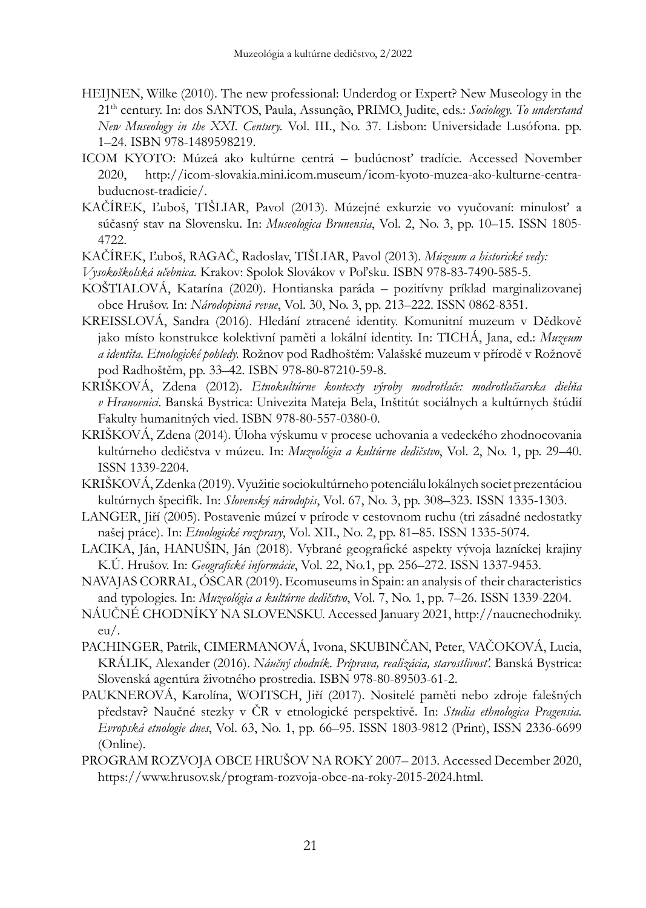- HEIJNEN, Wilke (2010). The new professional: Underdog or Expert? New Museology in the 21th century. In: dos SANTOS, Paula, Assunção, PRIMO, Judite, eds.: *Sociology. To understand New Museology in the XXI. Century.* Vol. III., No. 37. Lisbon: Universidade Lusófona. pp. 1–24. ISBN 978-1489598219.
- ICOM KYOTO: Múzeá ako kultúrne centrá budúcnosť tradície. Accessed November 2020, http://icom-slovakia.mini.icom.museum/icom-kyoto-muzea-ako-kulturne-centrabuducnost-tradicie/.
- KAČÍREK, Ľuboš, TIŠLIAR, Pavol (2013). Múzejné exkurzie vo vyučovaní: minulosť a súčasný stav na Slovensku. In: *Museologica Brunensia*, Vol. 2, No. 3, pp. 10–15. ISSN 1805- 4722.
- KAČÍREK, Ľuboš, RAGAČ, Radoslav, TIŠLIAR, Pavol (2013). *Múzeum a historické vedy:*
- *Vysokoškolská učebnica.* Krakov: Spolok Slovákov v Poľsku. ISBN 978-83-7490-585-5.
- KOŠTIALOVÁ, Katarína (2020). Hontianska paráda pozitívny príklad marginalizovanej obce Hrušov. In: *Národopisná revue*, Vol. 30, No. 3, pp. 213–222. ISSN 0862-8351.
- KREISSLOVÁ, Sandra (2016). Hledání ztracené identity. Komunitní muzeum v Dědkově jako místo konstrukce kolektivní paměti a lokální identity. In: TICHÁ, Jana, ed.: *Muzeum a identita. Etnologické pohledy.* Rožnov pod Radhoštěm: Valašské muzeum v přírodě v Rožnově pod Radhoštěm, pp. 33–42. ISBN 978-80-87210-59-8.
- KRIŠKOVÁ, Zdena (2012). *Etnokultúrne kontexty výroby modrotlače: modrotlačiarska dielňa v Hranovnici*. Banská Bystrica: Univezita Mateja Bela, Inštitút sociálnych a kultúrnych štúdií Fakulty humanitných vied. ISBN 978-80-557-0380-0.
- KRIŠKOVÁ, Zdena (2014). Úloha výskumu v procese uchovania a vedeckého zhodnocovania kultúrneho dedičstva v múzeu. In: *Muzeológia a kultúrne dedičstvo*, Vol. 2, No. 1, pp. 29–40. ISSN 1339-2204.
- KRIŠKOVÁ, Zdenka (2019). Využitie sociokultúrneho potenciálu lokálnych societ prezentáciou kultúrnych špecifík. In: *Slovenský národopis*, Vol. 67, No. 3, pp. 308–323. ISSN 1335-1303.
- LANGER, Jiří (2005). Postavenie múzeí v prírode v cestovnom ruchu (tri zásadné nedostatky našej práce). In: *Etnologické rozpravy*, Vol. XII., No. 2, pp. 81–85. ISSN 1335-5074.
- Lacika, Ján, Hanušin, Ján (2018). Vybrané geografické aspekty vývoja lazníckej krajiny K.Ú. Hrušov. In: *Geografické informácie*, Vol. 22, No.1, pp. 256–272. ISSN 1337-9453.
- NAVAJAS CORRAL, Óscar (2019). Ecomuseums in Spain: an analysis of their characteristics and typologies. In: *Muzeológia a kultúrne dedičstvo*, Vol. 7, No. 1, pp. 7–26. ISSN 1339-2204.
- Náučné chodníky na Slovensku. Accessed January 2021, http://naucnechodniky. eu/.
- Pachinger, Patrik, Cimermanová, Ivona, Skubinčan, Peter, VAČOKOVÁ, Lucia, KRÁLIK, Alexander (2016). *Náučný chodník. Príprava, realizácia, starostlivosť.* Banská Bystrica: Slovenská agentúra životného prostredia. ISBN 978-80-89503-61-2.
- PAUKNEROVÁ, Karolína, WOITSCH, Jiří (2017). Nositelé paměti nebo zdroje falešných představ? Naučné stezky v ČR v etnologické perspektivě. In: *Studia ethnologica Pragensia. Evropská etnologie dnes*, Vol. 63, No. 1, pp. 66–95. ISSN 1803-9812 (Print), ISSN 2336-6699 (Online).
- Program rozvoja obce Hrušov na roky 2007– 2013. Accessed December 2020, https://www.hrusov.sk/program-rozvoja-obce-na-roky-2015-2024.html.